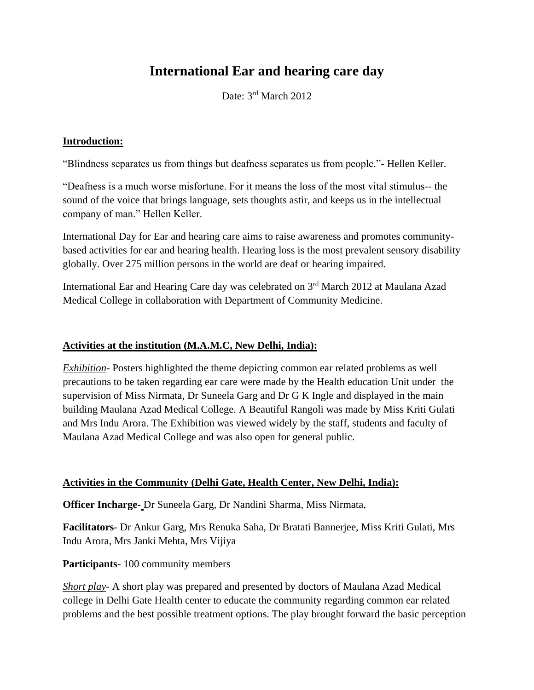# **International Ear and hearing care day**

Date: 3rd March 2012

#### **Introduction:**

"Blindness separates us from things but deafness separates us from people."- Hellen Keller.

"Deafness is a much worse misfortune. For it means the loss of the most vital stimulus-- the sound of the voice that brings language, sets thoughts astir, and keeps us in the intellectual company of man." Hellen Keller.

International Day for Ear and hearing care aims to raise awareness and promotes communitybased activities for ear and hearing health. Hearing loss is the most prevalent sensory disability globally. Over 275 million persons in the world are deaf or hearing impaired.

International Ear and Hearing Care day was celebrated on 3rd March 2012 at Maulana Azad Medical College in collaboration with Department of Community Medicine.

#### **Activities at the institution (M.A.M.C, New Delhi, India):**

*Exhibition*- Posters highlighted the theme depicting common ear related problems as well precautions to be taken regarding ear care were made by the Health education Unit under the supervision of Miss Nirmata, Dr Suneela Garg and Dr G K Ingle and displayed in the main building Maulana Azad Medical College. A Beautiful Rangoli was made by Miss Kriti Gulati and Mrs Indu Arora. The Exhibition was viewed widely by the staff, students and faculty of Maulana Azad Medical College and was also open for general public.

#### **Activities in the Community (Delhi Gate, Health Center, New Delhi, India):**

**Officer Incharge-** Dr Suneela Garg, Dr Nandini Sharma, Miss Nirmata,

**Facilitators**- Dr Ankur Garg, Mrs Renuka Saha, Dr Bratati Bannerjee, Miss Kriti Gulati, Mrs Indu Arora, Mrs Janki Mehta, Mrs Vijiya

**Participants**- 100 community members

*Short play*- A short play was prepared and presented by doctors of Maulana Azad Medical college in Delhi Gate Health center to educate the community regarding common ear related problems and the best possible treatment options. The play brought forward the basic perception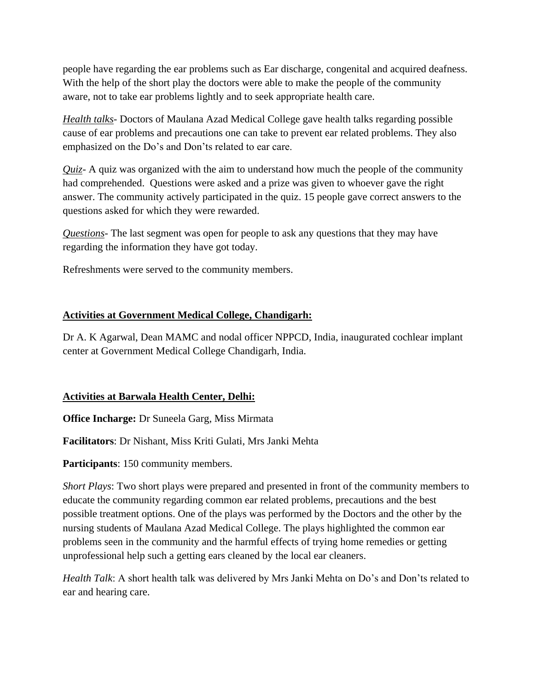people have regarding the ear problems such as Ear discharge, congenital and acquired deafness. With the help of the short play the doctors were able to make the people of the community aware, not to take ear problems lightly and to seek appropriate health care.

*Health talks*- Doctors of Maulana Azad Medical College gave health talks regarding possible cause of ear problems and precautions one can take to prevent ear related problems. They also emphasized on the Do's and Don'ts related to ear care.

*Quiz*- A quiz was organized with the aim to understand how much the people of the community had comprehended. Questions were asked and a prize was given to whoever gave the right answer. The community actively participated in the quiz. 15 people gave correct answers to the questions asked for which they were rewarded.

*Questions*- The last segment was open for people to ask any questions that they may have regarding the information they have got today.

Refreshments were served to the community members.

## **Activities at Government Medical College, Chandigarh:**

Dr A. K Agarwal, Dean MAMC and nodal officer NPPCD, India, inaugurated cochlear implant center at Government Medical College Chandigarh, India.

### **Activities at Barwala Health Center, Delhi:**

**Office Incharge:** Dr Suneela Garg, Miss Mirmata

**Facilitators**: Dr Nishant, Miss Kriti Gulati, Mrs Janki Mehta

**Participants**: 150 community members.

*Short Plays*: Two short plays were prepared and presented in front of the community members to educate the community regarding common ear related problems, precautions and the best possible treatment options. One of the plays was performed by the Doctors and the other by the nursing students of Maulana Azad Medical College. The plays highlighted the common ear problems seen in the community and the harmful effects of trying home remedies or getting unprofessional help such a getting ears cleaned by the local ear cleaners.

*Health Talk*: A short health talk was delivered by Mrs Janki Mehta on Do's and Don'ts related to ear and hearing care.